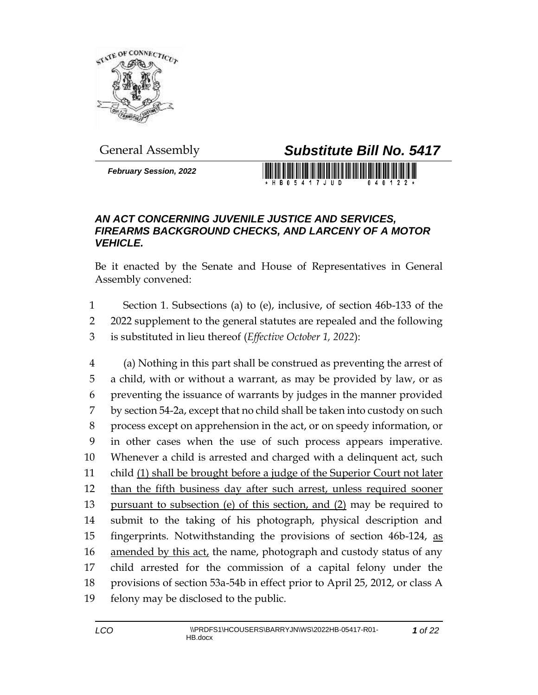

*February Session, 2022*

## General Assembly *Substitute Bill No. 5417*

H B 0 5 4 1 7 J U D

## *AN ACT CONCERNING JUVENILE JUSTICE AND SERVICES, FIREARMS BACKGROUND CHECKS, AND LARCENY OF A MOTOR VEHICLE.*

Be it enacted by the Senate and House of Representatives in General Assembly convened:

1 Section 1. Subsections (a) to (e), inclusive, of section 46b-133 of the 2 2022 supplement to the general statutes are repealed and the following 3 is substituted in lieu thereof (*Effective October 1, 2022*):

 (a) Nothing in this part shall be construed as preventing the arrest of a child, with or without a warrant, as may be provided by law, or as preventing the issuance of warrants by judges in the manner provided by section 54-2a, except that no child shall be taken into custody on such process except on apprehension in the act, or on speedy information, or in other cases when the use of such process appears imperative. Whenever a child is arrested and charged with a delinquent act, such child (1) shall be brought before a judge of the Superior Court not later than the fifth business day after such arrest, unless required sooner pursuant to subsection (e) of this section, and (2) may be required to submit to the taking of his photograph, physical description and 15 fingerprints. Notwithstanding the provisions of section 46b-124, as 16 amended by this act, the name, photograph and custody status of any child arrested for the commission of a capital felony under the provisions of section 53a-54b in effect prior to April 25, 2012, or class A felony may be disclosed to the public.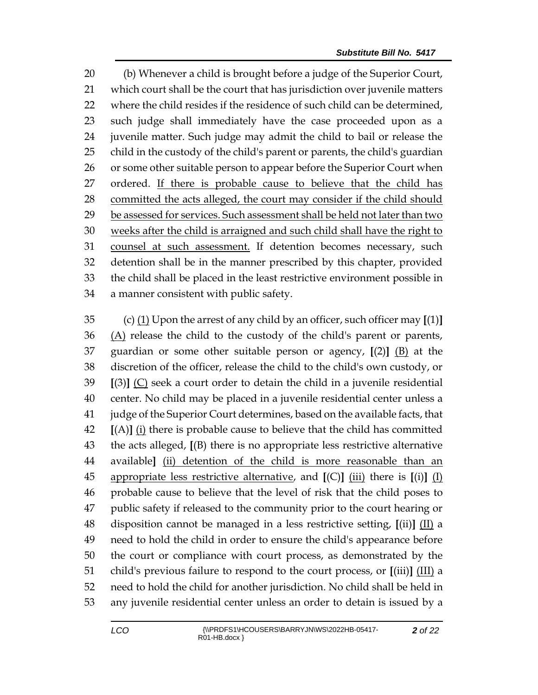(b) Whenever a child is brought before a judge of the Superior Court, which court shall be the court that has jurisdiction over juvenile matters where the child resides if the residence of such child can be determined, such judge shall immediately have the case proceeded upon as a juvenile matter. Such judge may admit the child to bail or release the child in the custody of the child's parent or parents, the child's guardian 26 or some other suitable person to appear before the Superior Court when ordered. If there is probable cause to believe that the child has committed the acts alleged, the court may consider if the child should be assessed for services. Such assessment shall be held not later than two weeks after the child is arraigned and such child shall have the right to counsel at such assessment. If detention becomes necessary, such detention shall be in the manner prescribed by this chapter, provided the child shall be placed in the least restrictive environment possible in a manner consistent with public safety.

 (c) (1) Upon the arrest of any child by an officer, such officer may **[**(1)**]** (A) release the child to the custody of the child's parent or parents, guardian or some other suitable person or agency, **[**(2)**]** (B) at the discretion of the officer, release the child to the child's own custody, or **[**(3)**]** (C) seek a court order to detain the child in a juvenile residential center. No child may be placed in a juvenile residential center unless a judge of the Superior Court determines, based on the available facts, that **[**(A)**]** (i) there is probable cause to believe that the child has committed the acts alleged, **[**(B) there is no appropriate less restrictive alternative available**]** (ii) detention of the child is more reasonable than an appropriate less restrictive alternative, and **[**(C)**]** (iii) there is **[**(i)**]** (I) probable cause to believe that the level of risk that the child poses to public safety if released to the community prior to the court hearing or disposition cannot be managed in a less restrictive setting, **[**(ii)**]** (II) a need to hold the child in order to ensure the child's appearance before the court or compliance with court process, as demonstrated by the child's previous failure to respond to the court process, or **[**(iii)**]** (III) a need to hold the child for another jurisdiction. No child shall be held in any juvenile residential center unless an order to detain is issued by a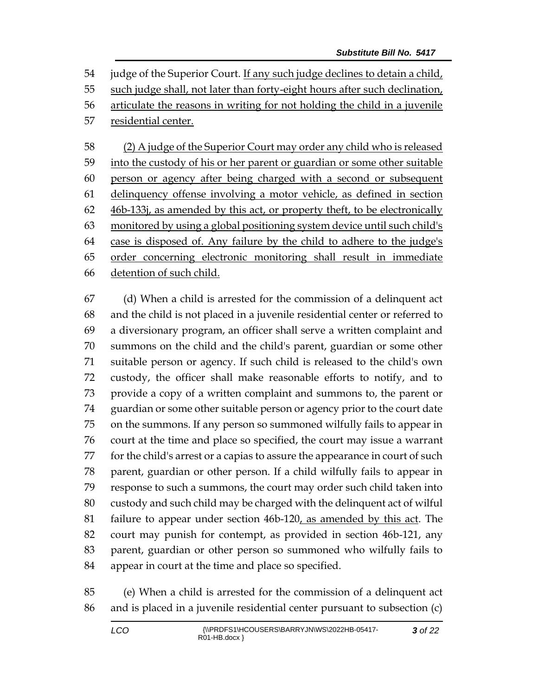judge of the Superior Court. If any such judge declines to detain a child, such judge shall, not later than forty-eight hours after such declination, articulate the reasons in writing for not holding the child in a juvenile residential center.

 (2) A judge of the Superior Court may order any child who is released 59 into the custody of his or her parent or guardian or some other suitable person or agency after being charged with a second or subsequent delinquency offense involving a motor vehicle, as defined in section 46b-133j, as amended by this act, or property theft, to be electronically monitored by using a global positioning system device until such child's case is disposed of. Any failure by the child to adhere to the judge's order concerning electronic monitoring shall result in immediate detention of such child.

 (d) When a child is arrested for the commission of a delinquent act and the child is not placed in a juvenile residential center or referred to a diversionary program, an officer shall serve a written complaint and summons on the child and the child's parent, guardian or some other suitable person or agency. If such child is released to the child's own custody, the officer shall make reasonable efforts to notify, and to provide a copy of a written complaint and summons to, the parent or guardian or some other suitable person or agency prior to the court date on the summons. If any person so summoned wilfully fails to appear in court at the time and place so specified, the court may issue a warrant for the child's arrest or a capias to assure the appearance in court of such parent, guardian or other person. If a child wilfully fails to appear in response to such a summons, the court may order such child taken into custody and such child may be charged with the delinquent act of wilful failure to appear under section 46b-120, as amended by this act. The court may punish for contempt, as provided in section 46b-121, any parent, guardian or other person so summoned who wilfully fails to appear in court at the time and place so specified.

 (e) When a child is arrested for the commission of a delinquent act and is placed in a juvenile residential center pursuant to subsection (c)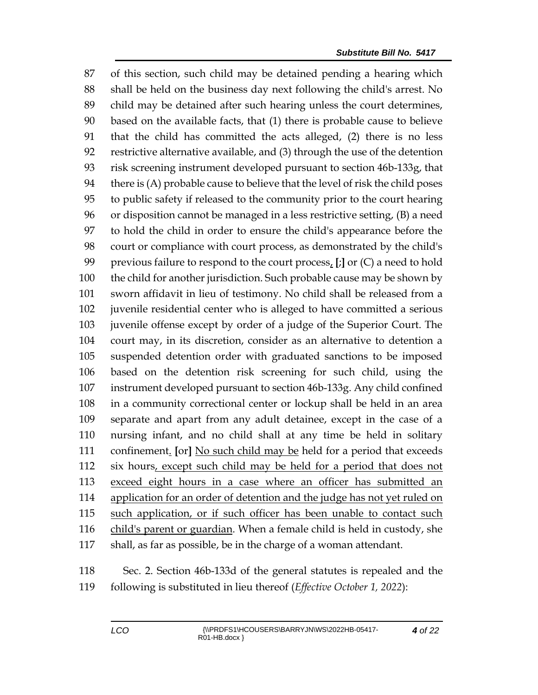of this section, such child may be detained pending a hearing which shall be held on the business day next following the child's arrest. No child may be detained after such hearing unless the court determines, based on the available facts, that (1) there is probable cause to believe that the child has committed the acts alleged, (2) there is no less restrictive alternative available, and (3) through the use of the detention risk screening instrument developed pursuant to section 46b-133g, that there is (A) probable cause to believe that the level of risk the child poses to public safety if released to the community prior to the court hearing or disposition cannot be managed in a less restrictive setting, (B) a need to hold the child in order to ensure the child's appearance before the court or compliance with court process, as demonstrated by the child's previous failure to respond to the court process, **[**;**]** or (C) a need to hold the child for another jurisdiction. Such probable cause may be shown by sworn affidavit in lieu of testimony. No child shall be released from a juvenile residential center who is alleged to have committed a serious juvenile offense except by order of a judge of the Superior Court. The court may, in its discretion, consider as an alternative to detention a suspended detention order with graduated sanctions to be imposed based on the detention risk screening for such child, using the instrument developed pursuant to section 46b-133g. Any child confined in a community correctional center or lockup shall be held in an area separate and apart from any adult detainee, except in the case of a nursing infant, and no child shall at any time be held in solitary confinement. **[**or**]** No such child may be held for a period that exceeds six hours, except such child may be held for a period that does not exceed eight hours in a case where an officer has submitted an 114 application for an order of detention and the judge has not yet ruled on such application, or if such officer has been unable to contact such child's parent or guardian. When a female child is held in custody, she shall, as far as possible, be in the charge of a woman attendant.

 Sec. 2. Section 46b-133d of the general statutes is repealed and the following is substituted in lieu thereof (*Effective October 1, 2022*):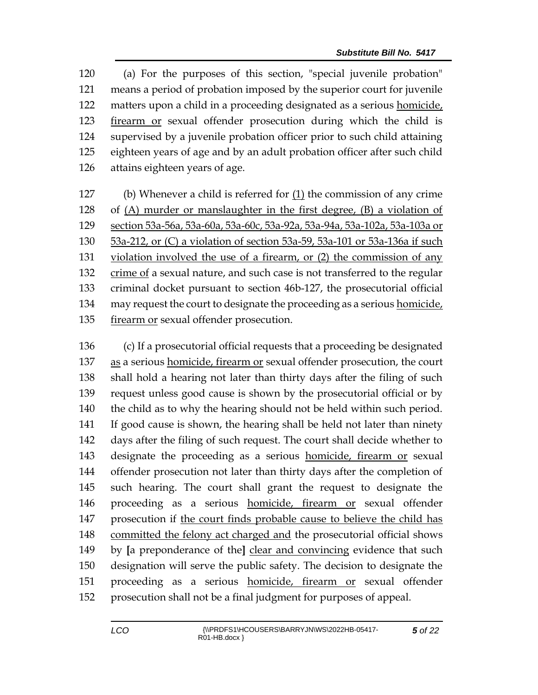(a) For the purposes of this section, "special juvenile probation" means a period of probation imposed by the superior court for juvenile matters upon a child in a proceeding designated as a serious homicide, firearm or sexual offender prosecution during which the child is supervised by a juvenile probation officer prior to such child attaining eighteen years of age and by an adult probation officer after such child attains eighteen years of age.

 (b) Whenever a child is referred for (1) the commission of any crime of (A) murder or manslaughter in the first degree, (B) a violation of section 53a-56a, 53a-60a, 53a-60c, 53a-92a, 53a-94a, 53a-102a, 53a-103a or 53a-212, or (C) a violation of section 53a-59, 53a-101 or 53a-136a if such violation involved the use of a firearm, or (2) the commission of any crime of a sexual nature, and such case is not transferred to the regular criminal docket pursuant to section 46b-127, the prosecutorial official may request the court to designate the proceeding as a serious homicide, firearm or sexual offender prosecution.

 (c) If a prosecutorial official requests that a proceeding be designated as a serious homicide, firearm or sexual offender prosecution, the court shall hold a hearing not later than thirty days after the filing of such request unless good cause is shown by the prosecutorial official or by the child as to why the hearing should not be held within such period. If good cause is shown, the hearing shall be held not later than ninety days after the filing of such request. The court shall decide whether to designate the proceeding as a serious homicide, firearm or sexual offender prosecution not later than thirty days after the completion of such hearing. The court shall grant the request to designate the proceeding as a serious homicide, firearm or sexual offender 147 prosecution if the court finds probable cause to believe the child has committed the felony act charged and the prosecutorial official shows by **[**a preponderance of the**]** clear and convincing evidence that such designation will serve the public safety. The decision to designate the proceeding as a serious homicide, firearm or sexual offender prosecution shall not be a final judgment for purposes of appeal.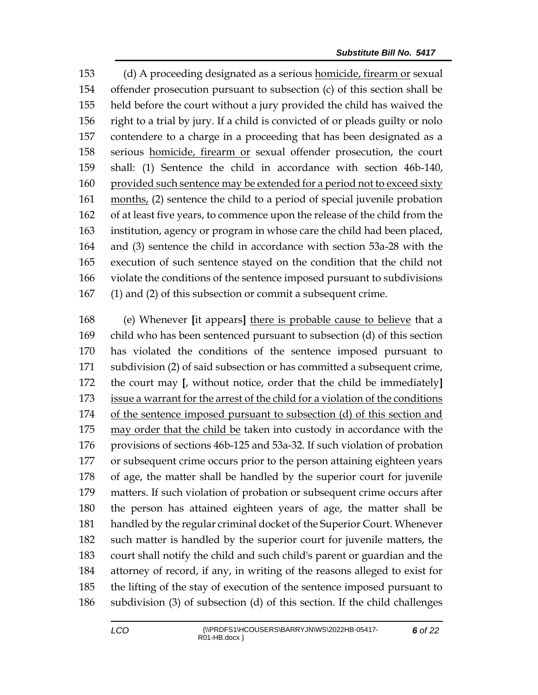(d) A proceeding designated as a serious homicide, firearm or sexual offender prosecution pursuant to subsection (c) of this section shall be held before the court without a jury provided the child has waived the right to a trial by jury. If a child is convicted of or pleads guilty or nolo contendere to a charge in a proceeding that has been designated as a serious homicide, firearm or sexual offender prosecution, the court shall: (1) Sentence the child in accordance with section 46b-140, 160 provided such sentence may be extended for a period not to exceed sixty months, (2) sentence the child to a period of special juvenile probation of at least five years, to commence upon the release of the child from the institution, agency or program in whose care the child had been placed, and (3) sentence the child in accordance with section 53a-28 with the execution of such sentence stayed on the condition that the child not violate the conditions of the sentence imposed pursuant to subdivisions (1) and (2) of this subsection or commit a subsequent crime.

 (e) Whenever **[**it appears**]** there is probable cause to believe that a child who has been sentenced pursuant to subsection (d) of this section has violated the conditions of the sentence imposed pursuant to subdivision (2) of said subsection or has committed a subsequent crime, the court may **[**, without notice, order that the child be immediately**]** issue a warrant for the arrest of the child for a violation of the conditions of the sentence imposed pursuant to subsection (d) of this section and may order that the child be taken into custody in accordance with the provisions of sections 46b-125 and 53a-32. If such violation of probation or subsequent crime occurs prior to the person attaining eighteen years of age, the matter shall be handled by the superior court for juvenile matters. If such violation of probation or subsequent crime occurs after the person has attained eighteen years of age, the matter shall be handled by the regular criminal docket of the Superior Court. Whenever such matter is handled by the superior court for juvenile matters, the court shall notify the child and such child's parent or guardian and the attorney of record, if any, in writing of the reasons alleged to exist for the lifting of the stay of execution of the sentence imposed pursuant to subdivision (3) of subsection (d) of this section. If the child challenges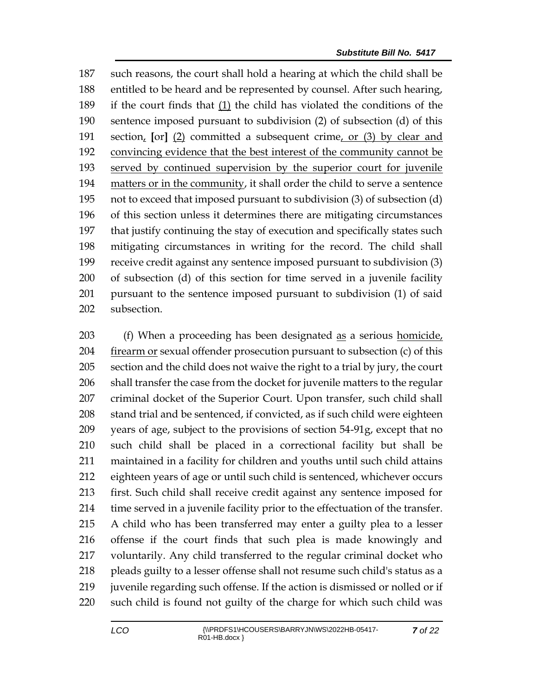such reasons, the court shall hold a hearing at which the child shall be entitled to be heard and be represented by counsel. After such hearing, if the court finds that (1) the child has violated the conditions of the sentence imposed pursuant to subdivision (2) of subsection (d) of this section, **[**or**]** (2) committed a subsequent crime, or (3) by clear and convincing evidence that the best interest of the community cannot be served by continued supervision by the superior court for juvenile matters or in the community, it shall order the child to serve a sentence not to exceed that imposed pursuant to subdivision (3) of subsection (d) of this section unless it determines there are mitigating circumstances that justify continuing the stay of execution and specifically states such mitigating circumstances in writing for the record. The child shall receive credit against any sentence imposed pursuant to subdivision (3) of subsection (d) of this section for time served in a juvenile facility pursuant to the sentence imposed pursuant to subdivision (1) of said subsection.

 (f) When a proceeding has been designated as a serious homicide, firearm or sexual offender prosecution pursuant to subsection (c) of this section and the child does not waive the right to a trial by jury, the court shall transfer the case from the docket for juvenile matters to the regular criminal docket of the Superior Court. Upon transfer, such child shall 208 stand trial and be sentenced, if convicted, as if such child were eighteen years of age, subject to the provisions of section 54-91g, except that no such child shall be placed in a correctional facility but shall be maintained in a facility for children and youths until such child attains eighteen years of age or until such child is sentenced, whichever occurs first. Such child shall receive credit against any sentence imposed for time served in a juvenile facility prior to the effectuation of the transfer. A child who has been transferred may enter a guilty plea to a lesser offense if the court finds that such plea is made knowingly and voluntarily. Any child transferred to the regular criminal docket who pleads guilty to a lesser offense shall not resume such child's status as a juvenile regarding such offense. If the action is dismissed or nolled or if such child is found not guilty of the charge for which such child was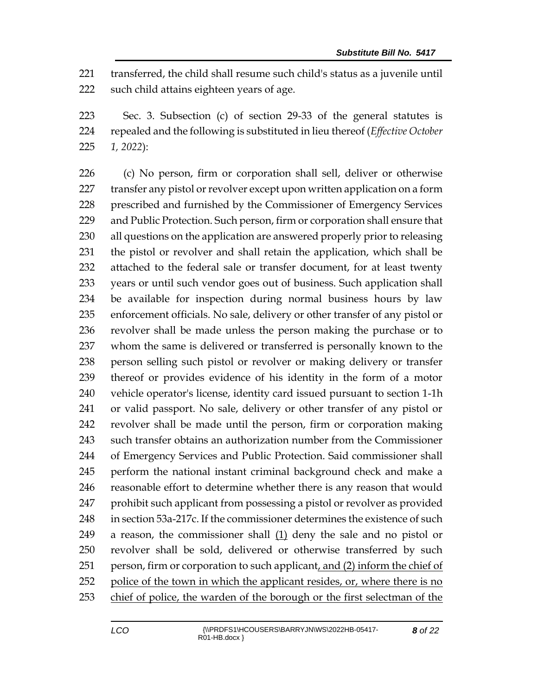transferred, the child shall resume such child's status as a juvenile until such child attains eighteen years of age.

 Sec. 3. Subsection (c) of section 29-33 of the general statutes is repealed and the following is substituted in lieu thereof (*Effective October 1, 2022*):

 (c) No person, firm or corporation shall sell, deliver or otherwise 227 transfer any pistol or revolver except upon written application on a form prescribed and furnished by the Commissioner of Emergency Services and Public Protection. Such person, firm or corporation shall ensure that all questions on the application are answered properly prior to releasing the pistol or revolver and shall retain the application, which shall be attached to the federal sale or transfer document, for at least twenty years or until such vendor goes out of business. Such application shall be available for inspection during normal business hours by law enforcement officials. No sale, delivery or other transfer of any pistol or revolver shall be made unless the person making the purchase or to whom the same is delivered or transferred is personally known to the person selling such pistol or revolver or making delivery or transfer thereof or provides evidence of his identity in the form of a motor vehicle operator's license, identity card issued pursuant to section 1-1h or valid passport. No sale, delivery or other transfer of any pistol or revolver shall be made until the person, firm or corporation making such transfer obtains an authorization number from the Commissioner of Emergency Services and Public Protection. Said commissioner shall perform the national instant criminal background check and make a reasonable effort to determine whether there is any reason that would prohibit such applicant from possessing a pistol or revolver as provided in section 53a-217c. If the commissioner determines the existence of such 249 a reason, the commissioner shall  $(1)$  deny the sale and no pistol or revolver shall be sold, delivered or otherwise transferred by such person, firm or corporation to such applicant, and (2) inform the chief of 252 police of the town in which the applicant resides, or, where there is no chief of police, the warden of the borough or the first selectman of the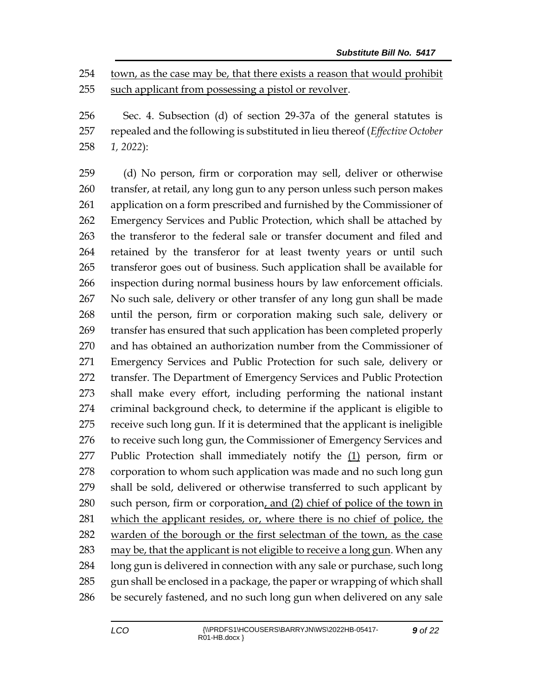town, as the case may be, that there exists a reason that would prohibit such applicant from possessing a pistol or revolver.

 Sec. 4. Subsection (d) of section 29-37a of the general statutes is repealed and the following is substituted in lieu thereof (*Effective October 1, 2022*):

 (d) No person, firm or corporation may sell, deliver or otherwise transfer, at retail, any long gun to any person unless such person makes application on a form prescribed and furnished by the Commissioner of Emergency Services and Public Protection, which shall be attached by the transferor to the federal sale or transfer document and filed and retained by the transferor for at least twenty years or until such transferor goes out of business. Such application shall be available for inspection during normal business hours by law enforcement officials. No such sale, delivery or other transfer of any long gun shall be made until the person, firm or corporation making such sale, delivery or transfer has ensured that such application has been completed properly and has obtained an authorization number from the Commissioner of Emergency Services and Public Protection for such sale, delivery or transfer. The Department of Emergency Services and Public Protection shall make every effort, including performing the national instant criminal background check, to determine if the applicant is eligible to receive such long gun. If it is determined that the applicant is ineligible 276 to receive such long gun, the Commissioner of Emergency Services and Public Protection shall immediately notify the (1) person, firm or corporation to whom such application was made and no such long gun shall be sold, delivered or otherwise transferred to such applicant by such person, firm or corporation, and (2) chief of police of the town in which the applicant resides, or, where there is no chief of police, the warden of the borough or the first selectman of the town, as the case may be, that the applicant is not eligible to receive a long gun. When any long gun is delivered in connection with any sale or purchase, such long gun shall be enclosed in a package, the paper or wrapping of which shall be securely fastened, and no such long gun when delivered on any sale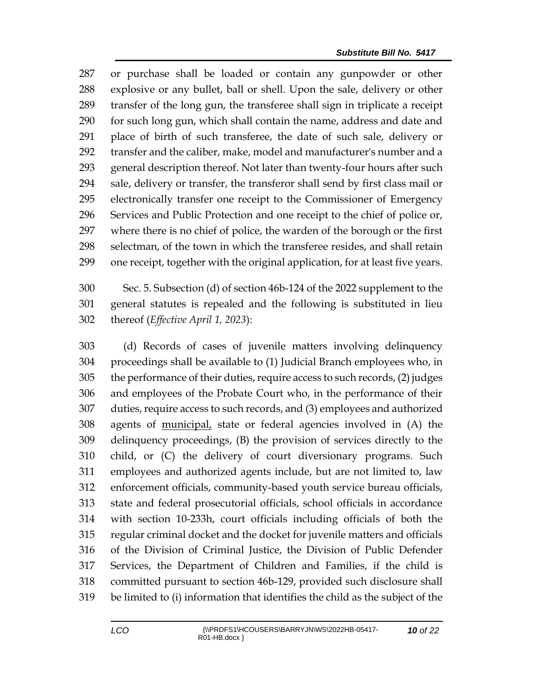or purchase shall be loaded or contain any gunpowder or other explosive or any bullet, ball or shell. Upon the sale, delivery or other transfer of the long gun, the transferee shall sign in triplicate a receipt for such long gun, which shall contain the name, address and date and place of birth of such transferee, the date of such sale, delivery or transfer and the caliber, make, model and manufacturer's number and a general description thereof. Not later than twenty-four hours after such sale, delivery or transfer, the transferor shall send by first class mail or electronically transfer one receipt to the Commissioner of Emergency Services and Public Protection and one receipt to the chief of police or, where there is no chief of police, the warden of the borough or the first selectman, of the town in which the transferee resides, and shall retain one receipt, together with the original application, for at least five years.

 Sec. 5. Subsection (d) of section 46b-124 of the 2022 supplement to the general statutes is repealed and the following is substituted in lieu thereof (*Effective April 1, 2023*):

 (d) Records of cases of juvenile matters involving delinquency proceedings shall be available to (1) Judicial Branch employees who, in the performance of their duties, require access to such records, (2) judges and employees of the Probate Court who, in the performance of their duties, require access to such records, and (3) employees and authorized agents of municipal, state or federal agencies involved in (A) the delinquency proceedings, (B) the provision of services directly to the child, or (C) the delivery of court diversionary programs. Such employees and authorized agents include, but are not limited to, law enforcement officials, community-based youth service bureau officials, state and federal prosecutorial officials, school officials in accordance with section 10-233h, court officials including officials of both the regular criminal docket and the docket for juvenile matters and officials of the Division of Criminal Justice, the Division of Public Defender Services, the Department of Children and Families, if the child is committed pursuant to section 46b-129, provided such disclosure shall be limited to (i) information that identifies the child as the subject of the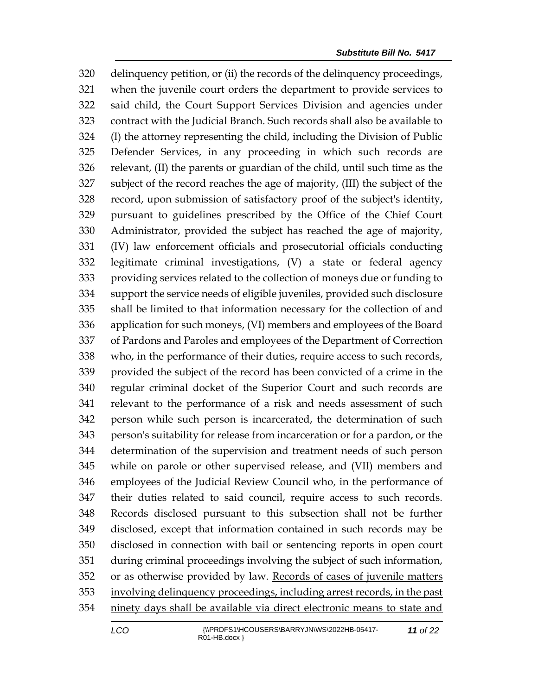delinquency petition, or (ii) the records of the delinquency proceedings, when the juvenile court orders the department to provide services to said child, the Court Support Services Division and agencies under contract with the Judicial Branch. Such records shall also be available to (I) the attorney representing the child, including the Division of Public Defender Services, in any proceeding in which such records are relevant, (II) the parents or guardian of the child, until such time as the subject of the record reaches the age of majority, (III) the subject of the record, upon submission of satisfactory proof of the subject's identity, pursuant to guidelines prescribed by the Office of the Chief Court Administrator, provided the subject has reached the age of majority, (IV) law enforcement officials and prosecutorial officials conducting legitimate criminal investigations, (V) a state or federal agency providing services related to the collection of moneys due or funding to support the service needs of eligible juveniles, provided such disclosure shall be limited to that information necessary for the collection of and application for such moneys, (VI) members and employees of the Board of Pardons and Paroles and employees of the Department of Correction who, in the performance of their duties, require access to such records, provided the subject of the record has been convicted of a crime in the regular criminal docket of the Superior Court and such records are relevant to the performance of a risk and needs assessment of such person while such person is incarcerated, the determination of such person's suitability for release from incarceration or for a pardon, or the determination of the supervision and treatment needs of such person while on parole or other supervised release, and (VII) members and employees of the Judicial Review Council who, in the performance of their duties related to said council, require access to such records. Records disclosed pursuant to this subsection shall not be further disclosed, except that information contained in such records may be disclosed in connection with bail or sentencing reports in open court during criminal proceedings involving the subject of such information, or as otherwise provided by law. Records of cases of juvenile matters involving delinquency proceedings, including arrest records, in the past ninety days shall be available via direct electronic means to state and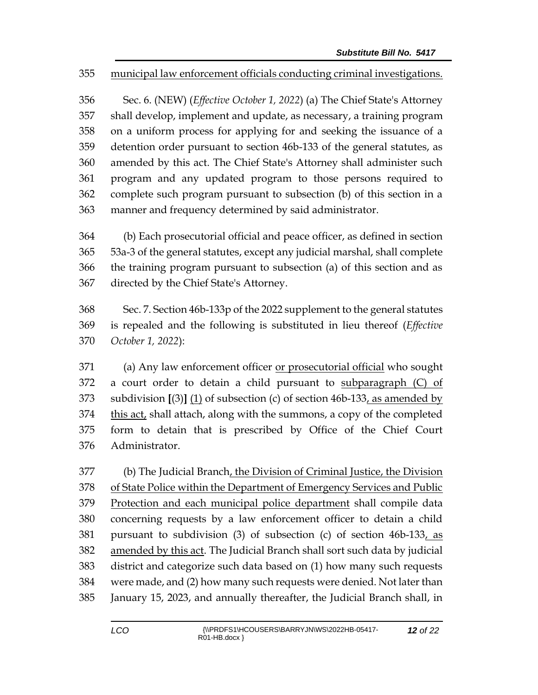## municipal law enforcement officials conducting criminal investigations.

 Sec. 6. (NEW) (*Effective October 1, 2022*) (a) The Chief State's Attorney shall develop, implement and update, as necessary, a training program on a uniform process for applying for and seeking the issuance of a detention order pursuant to section 46b-133 of the general statutes, as amended by this act. The Chief State's Attorney shall administer such program and any updated program to those persons required to complete such program pursuant to subsection (b) of this section in a manner and frequency determined by said administrator.

 (b) Each prosecutorial official and peace officer, as defined in section 53a-3 of the general statutes, except any judicial marshal, shall complete the training program pursuant to subsection (a) of this section and as directed by the Chief State's Attorney.

 Sec. 7. Section 46b-133p of the 2022 supplement to the general statutes is repealed and the following is substituted in lieu thereof (*Effective October 1, 2022*):

 (a) Any law enforcement officer or prosecutorial official who sought a court order to detain a child pursuant to subparagraph (C) of subdivision **[**(3)**]** (1) of subsection (c) of section 46b-133, as amended by 374 this act, shall attach, along with the summons, a copy of the completed form to detain that is prescribed by Office of the Chief Court Administrator.

 (b) The Judicial Branch, the Division of Criminal Justice, the Division of State Police within the Department of Emergency Services and Public Protection and each municipal police department shall compile data concerning requests by a law enforcement officer to detain a child pursuant to subdivision (3) of subsection (c) of section 46b-133, as amended by this act. The Judicial Branch shall sort such data by judicial district and categorize such data based on (1) how many such requests were made, and (2) how many such requests were denied. Not later than January 15, 2023, and annually thereafter, the Judicial Branch shall, in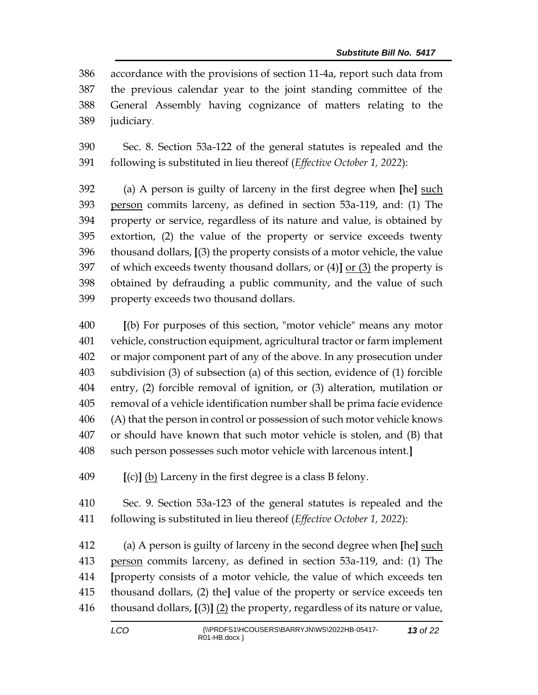accordance with the provisions of section 11-4a, report such data from the previous calendar year to the joint standing committee of the General Assembly having cognizance of matters relating to the judiciary.

 Sec. 8. Section 53a-122 of the general statutes is repealed and the following is substituted in lieu thereof (*Effective October 1, 2022*):

 (a) A person is guilty of larceny in the first degree when **[**he**]** such person commits larceny, as defined in section 53a-119, and: (1) The property or service, regardless of its nature and value, is obtained by extortion, (2) the value of the property or service exceeds twenty thousand dollars, **[**(3) the property consists of a motor vehicle, the value of which exceeds twenty thousand dollars, or (4)**]** or (3) the property is obtained by defrauding a public community, and the value of such property exceeds two thousand dollars.

 **[**(b) For purposes of this section, "motor vehicle" means any motor vehicle, construction equipment, agricultural tractor or farm implement or major component part of any of the above. In any prosecution under subdivision (3) of subsection (a) of this section, evidence of (1) forcible entry, (2) forcible removal of ignition, or (3) alteration, mutilation or removal of a vehicle identification number shall be prima facie evidence (A) that the person in control or possession of such motor vehicle knows or should have known that such motor vehicle is stolen, and (B) that such person possesses such motor vehicle with larcenous intent.**]**

**[**(c)**]** (b) Larceny in the first degree is a class B felony.

 Sec. 9. Section 53a-123 of the general statutes is repealed and the following is substituted in lieu thereof (*Effective October 1, 2022*):

 (a) A person is guilty of larceny in the second degree when **[**he**]** such person commits larceny, as defined in section 53a-119, and: (1) The **[**property consists of a motor vehicle, the value of which exceeds ten thousand dollars, (2) the**]** value of the property or service exceeds ten thousand dollars, **[**(3)**]** (2) the property, regardless of its nature or value,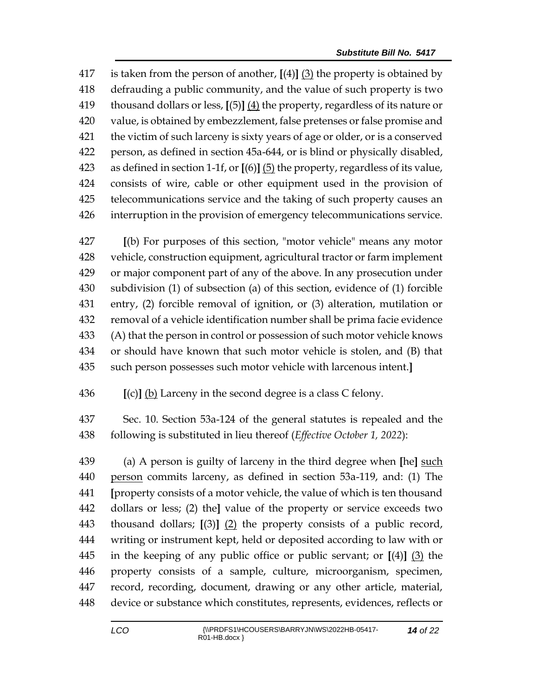is taken from the person of another, **[**(4)**]** (3) the property is obtained by defrauding a public community, and the value of such property is two thousand dollars or less, **[**(5)**]** (4) the property, regardless of its nature or value, is obtained by embezzlement, false pretenses or false promise and the victim of such larceny is sixty years of age or older, or is a conserved person, as defined in section 45a-644, or is blind or physically disabled, as defined in section 1-1f, or **[**(6)**]** (5) the property, regardless of its value, consists of wire, cable or other equipment used in the provision of telecommunications service and the taking of such property causes an interruption in the provision of emergency telecommunications service.

 **[**(b) For purposes of this section, "motor vehicle" means any motor vehicle, construction equipment, agricultural tractor or farm implement or major component part of any of the above. In any prosecution under subdivision (1) of subsection (a) of this section, evidence of (1) forcible entry, (2) forcible removal of ignition, or (3) alteration, mutilation or removal of a vehicle identification number shall be prima facie evidence (A) that the person in control or possession of such motor vehicle knows or should have known that such motor vehicle is stolen, and (B) that such person possesses such motor vehicle with larcenous intent.**]**

**[**(c)**]** (b) Larceny in the second degree is a class C felony.

 Sec. 10. Section 53a-124 of the general statutes is repealed and the following is substituted in lieu thereof (*Effective October 1, 2022*):

 (a) A person is guilty of larceny in the third degree when **[**he**]** such person commits larceny, as defined in section 53a-119, and: (1) The **[**property consists of a motor vehicle, the value of which is ten thousand dollars or less; (2) the**]** value of the property or service exceeds two thousand dollars; **[**(3)**]** (2) the property consists of a public record, writing or instrument kept, held or deposited according to law with or in the keeping of any public office or public servant; or **[**(4)**]** (3) the property consists of a sample, culture, microorganism, specimen, record, recording, document, drawing or any other article, material, device or substance which constitutes, represents, evidences, reflects or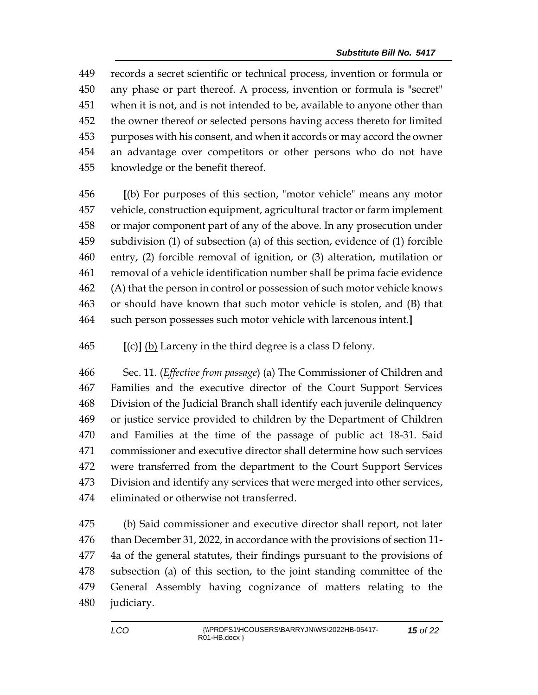records a secret scientific or technical process, invention or formula or any phase or part thereof. A process, invention or formula is "secret" when it is not, and is not intended to be, available to anyone other than the owner thereof or selected persons having access thereto for limited purposes with his consent, and when it accords or may accord the owner an advantage over competitors or other persons who do not have knowledge or the benefit thereof.

 **[**(b) For purposes of this section, "motor vehicle" means any motor vehicle, construction equipment, agricultural tractor or farm implement or major component part of any of the above. In any prosecution under subdivision (1) of subsection (a) of this section, evidence of (1) forcible entry, (2) forcible removal of ignition, or (3) alteration, mutilation or removal of a vehicle identification number shall be prima facie evidence (A) that the person in control or possession of such motor vehicle knows or should have known that such motor vehicle is stolen, and (B) that such person possesses such motor vehicle with larcenous intent.**]**

**[**(c)**]** (b) Larceny in the third degree is a class D felony.

 Sec. 11. (*Effective from passage*) (a) The Commissioner of Children and Families and the executive director of the Court Support Services Division of the Judicial Branch shall identify each juvenile delinquency or justice service provided to children by the Department of Children and Families at the time of the passage of public act 18-31. Said commissioner and executive director shall determine how such services were transferred from the department to the Court Support Services Division and identify any services that were merged into other services, eliminated or otherwise not transferred.

 (b) Said commissioner and executive director shall report, not later than December 31, 2022, in accordance with the provisions of section 11- 4a of the general statutes, their findings pursuant to the provisions of subsection (a) of this section, to the joint standing committee of the General Assembly having cognizance of matters relating to the judiciary.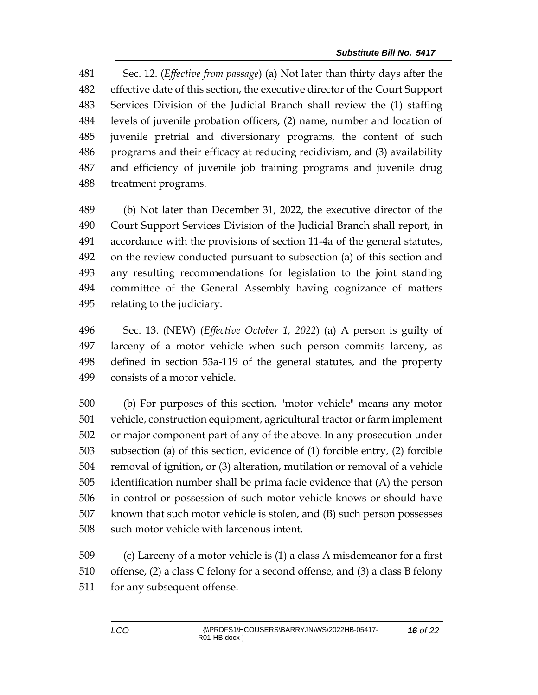Sec. 12. (*Effective from passage*) (a) Not later than thirty days after the effective date of this section, the executive director of the Court Support Services Division of the Judicial Branch shall review the (1) staffing levels of juvenile probation officers, (2) name, number and location of juvenile pretrial and diversionary programs, the content of such programs and their efficacy at reducing recidivism, and (3) availability and efficiency of juvenile job training programs and juvenile drug treatment programs.

 (b) Not later than December 31, 2022, the executive director of the Court Support Services Division of the Judicial Branch shall report, in accordance with the provisions of section 11-4a of the general statutes, on the review conducted pursuant to subsection (a) of this section and any resulting recommendations for legislation to the joint standing committee of the General Assembly having cognizance of matters relating to the judiciary.

 Sec. 13. (NEW) (*Effective October 1, 2022*) (a) A person is guilty of larceny of a motor vehicle when such person commits larceny, as defined in section 53a-119 of the general statutes, and the property consists of a motor vehicle.

 (b) For purposes of this section, "motor vehicle" means any motor vehicle, construction equipment, agricultural tractor or farm implement or major component part of any of the above. In any prosecution under subsection (a) of this section, evidence of (1) forcible entry, (2) forcible removal of ignition, or (3) alteration, mutilation or removal of a vehicle identification number shall be prima facie evidence that (A) the person in control or possession of such motor vehicle knows or should have known that such motor vehicle is stolen, and (B) such person possesses such motor vehicle with larcenous intent.

 (c) Larceny of a motor vehicle is (1) a class A misdemeanor for a first offense, (2) a class C felony for a second offense, and (3) a class B felony for any subsequent offense.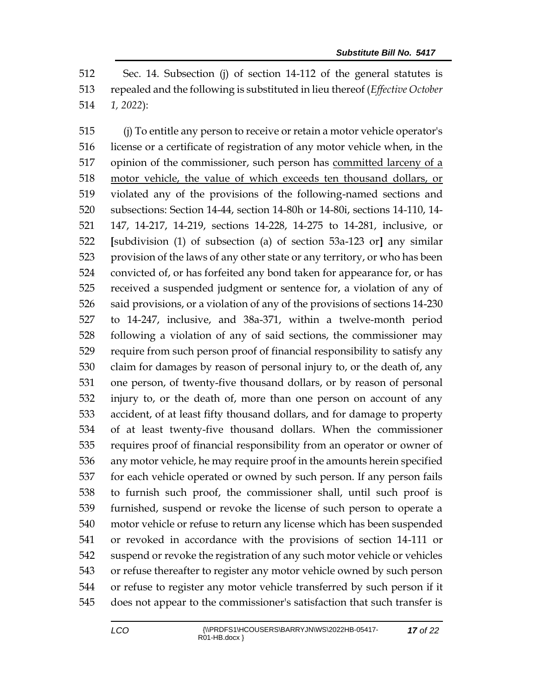Sec. 14. Subsection (j) of section 14-112 of the general statutes is repealed and the following is substituted in lieu thereof (*Effective October 1, 2022*):

 (j) To entitle any person to receive or retain a motor vehicle operator's license or a certificate of registration of any motor vehicle when, in the 517 opinion of the commissioner, such person has committed larceny of a motor vehicle, the value of which exceeds ten thousand dollars, or violated any of the provisions of the following-named sections and subsections: Section 14-44, section 14-80h or 14-80i, sections 14-110, 14- 147, 14-217, 14-219, sections 14-228, 14-275 to 14-281, inclusive, or **[**subdivision (1) of subsection (a) of section 53a-123 or**]** any similar provision of the laws of any other state or any territory, or who has been convicted of, or has forfeited any bond taken for appearance for, or has received a suspended judgment or sentence for, a violation of any of said provisions, or a violation of any of the provisions of sections 14-230 to 14-247, inclusive, and 38a-371, within a twelve-month period following a violation of any of said sections, the commissioner may require from such person proof of financial responsibility to satisfy any claim for damages by reason of personal injury to, or the death of, any one person, of twenty-five thousand dollars, or by reason of personal injury to, or the death of, more than one person on account of any accident, of at least fifty thousand dollars, and for damage to property of at least twenty-five thousand dollars. When the commissioner requires proof of financial responsibility from an operator or owner of any motor vehicle, he may require proof in the amounts herein specified for each vehicle operated or owned by such person. If any person fails to furnish such proof, the commissioner shall, until such proof is furnished, suspend or revoke the license of such person to operate a motor vehicle or refuse to return any license which has been suspended or revoked in accordance with the provisions of section 14-111 or suspend or revoke the registration of any such motor vehicle or vehicles or refuse thereafter to register any motor vehicle owned by such person or refuse to register any motor vehicle transferred by such person if it does not appear to the commissioner's satisfaction that such transfer is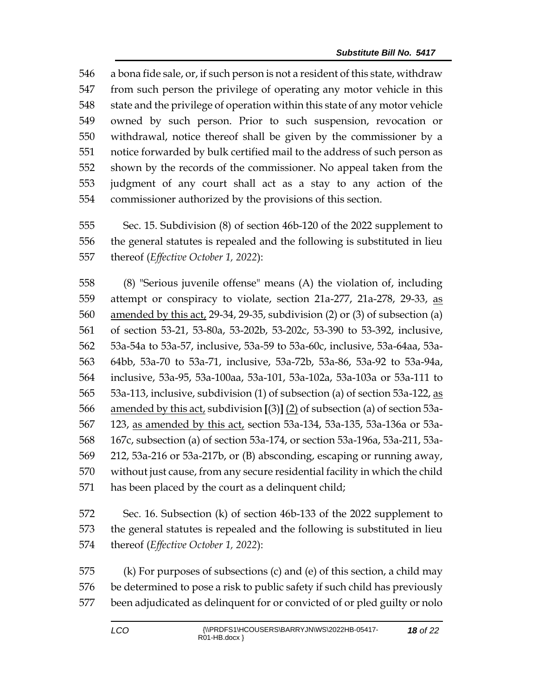a bona fide sale, or, if such person is not a resident of this state, withdraw from such person the privilege of operating any motor vehicle in this state and the privilege of operation within this state of any motor vehicle owned by such person. Prior to such suspension, revocation or withdrawal, notice thereof shall be given by the commissioner by a notice forwarded by bulk certified mail to the address of such person as shown by the records of the commissioner. No appeal taken from the judgment of any court shall act as a stay to any action of the commissioner authorized by the provisions of this section.

 Sec. 15. Subdivision (8) of section 46b-120 of the 2022 supplement to the general statutes is repealed and the following is substituted in lieu thereof (*Effective October 1, 2022*):

 (8) "Serious juvenile offense" means (A) the violation of, including 559 attempt or conspiracy to violate, section 21a-277, 21a-278, 29-33, as amended by this act, 29-34, 29-35, subdivision (2) or (3) of subsection (a) of section 53-21, 53-80a, 53-202b, 53-202c, 53-390 to 53-392, inclusive, 53a-54a to 53a-57, inclusive, 53a-59 to 53a-60c, inclusive, 53a-64aa, 53a- 64bb, 53a-70 to 53a-71, inclusive, 53a-72b, 53a-86, 53a-92 to 53a-94a, inclusive, 53a-95, 53a-100aa, 53a-101, 53a-102a, 53a-103a or 53a-111 to 53a-113, inclusive, subdivision (1) of subsection (a) of section 53a-122, as amended by this act, subdivision **[**(3)**]** (2) of subsection (a) of section 53a- 123, as amended by this act, section 53a-134, 53a-135, 53a-136a or 53a- 167c, subsection (a) of section 53a-174, or section 53a-196a, 53a-211, 53a- 212, 53a-216 or 53a-217b, or (B) absconding, escaping or running away, without just cause, from any secure residential facility in which the child has been placed by the court as a delinquent child;

 Sec. 16. Subsection (k) of section 46b-133 of the 2022 supplement to the general statutes is repealed and the following is substituted in lieu thereof (*Effective October 1, 2022*):

 (k) For purposes of subsections (c) and (e) of this section, a child may be determined to pose a risk to public safety if such child has previously been adjudicated as delinquent for or convicted of or pled guilty or nolo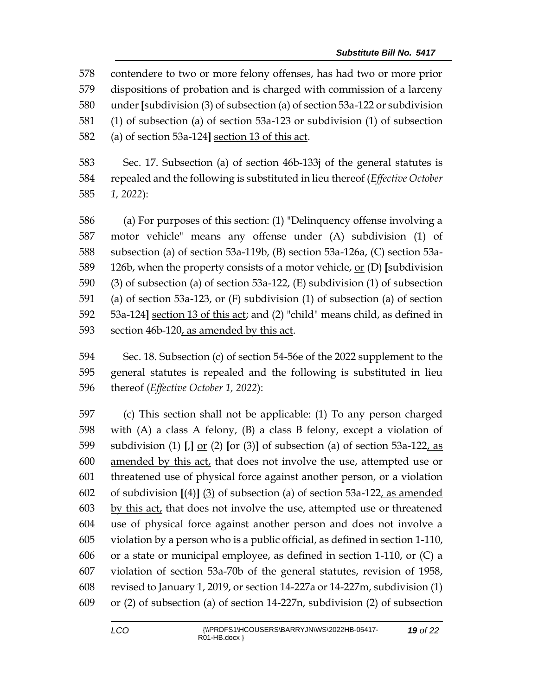contendere to two or more felony offenses, has had two or more prior dispositions of probation and is charged with commission of a larceny under **[**subdivision (3) of subsection (a) of section 53a-122 or subdivision (1) of subsection (a) of section 53a-123 or subdivision (1) of subsection (a) of section 53a-124**]** section 13 of this act.

 Sec. 17. Subsection (a) of section 46b-133j of the general statutes is repealed and the following is substituted in lieu thereof (*Effective October 1, 2022*):

 (a) For purposes of this section: (1) "Delinquency offense involving a motor vehicle" means any offense under (A) subdivision (1) of subsection (a) of section 53a-119b, (B) section 53a-126a, (C) section 53a- 126b, when the property consists of a motor vehicle, or (D) **[**subdivision (3) of subsection (a) of section 53a-122, (E) subdivision (1) of subsection (a) of section 53a-123, or (F) subdivision (1) of subsection (a) of section 53a-124**]** section 13 of this act; and (2) "child" means child, as defined in section 46b-120, as amended by this act.

 Sec. 18. Subsection (c) of section 54-56e of the 2022 supplement to the general statutes is repealed and the following is substituted in lieu thereof (*Effective October 1, 2022*):

 (c) This section shall not be applicable: (1) To any person charged with (A) a class A felony, (B) a class B felony, except a violation of subdivision (1) **[**,**]** or (2) **[**or (3)**]** of subsection (a) of section 53a-122, as amended by this act, that does not involve the use, attempted use or threatened use of physical force against another person, or a violation of subdivision **[**(4)**]** (3) of subsection (a) of section 53a-122, as amended by this act, that does not involve the use, attempted use or threatened use of physical force against another person and does not involve a violation by a person who is a public official, as defined in section 1-110, or a state or municipal employee, as defined in section 1-110, or (C) a violation of section 53a-70b of the general statutes, revision of 1958, revised to January 1, 2019, or section 14-227a or 14-227m, subdivision (1) or (2) of subsection (a) of section 14-227n, subdivision (2) of subsection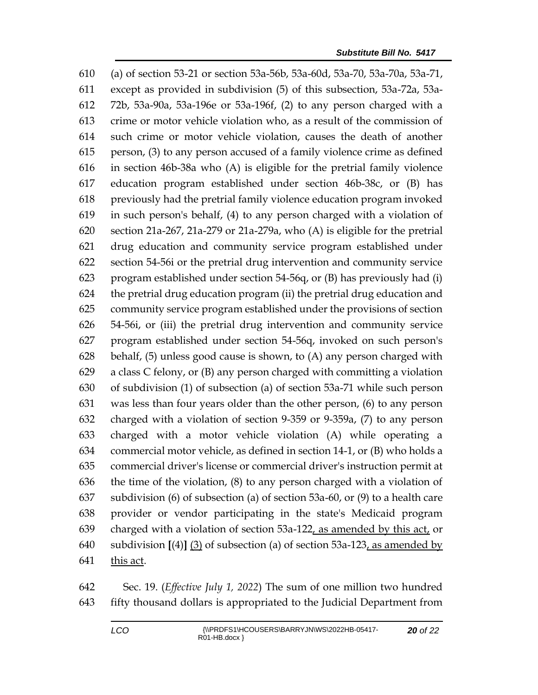(a) of section 53-21 or section 53a-56b, 53a-60d, 53a-70, 53a-70a, 53a-71, except as provided in subdivision (5) of this subsection, 53a-72a, 53a- 72b, 53a-90a, 53a-196e or 53a-196f, (2) to any person charged with a crime or motor vehicle violation who, as a result of the commission of such crime or motor vehicle violation, causes the death of another person, (3) to any person accused of a family violence crime as defined in section 46b-38a who (A) is eligible for the pretrial family violence education program established under section 46b-38c, or (B) has previously had the pretrial family violence education program invoked in such person's behalf, (4) to any person charged with a violation of section 21a-267, 21a-279 or 21a-279a, who (A) is eligible for the pretrial drug education and community service program established under section 54-56i or the pretrial drug intervention and community service program established under section 54-56q, or (B) has previously had (i) the pretrial drug education program (ii) the pretrial drug education and community service program established under the provisions of section 54-56i, or (iii) the pretrial drug intervention and community service program established under section 54-56q, invoked on such person's behalf, (5) unless good cause is shown, to (A) any person charged with a class C felony, or (B) any person charged with committing a violation of subdivision (1) of subsection (a) of section 53a-71 while such person was less than four years older than the other person, (6) to any person charged with a violation of section 9-359 or 9-359a, (7) to any person charged with a motor vehicle violation (A) while operating a commercial motor vehicle, as defined in section 14-1, or (B) who holds a commercial driver's license or commercial driver's instruction permit at the time of the violation, (8) to any person charged with a violation of subdivision (6) of subsection (a) of section 53a-60, or (9) to a health care provider or vendor participating in the state's Medicaid program charged with a violation of section 53a-122, as amended by this act, or subdivision **[**(4)**]** (3) of subsection (a) of section 53a-123, as amended by this act.

 Sec. 19. (*Effective July 1, 2022*) The sum of one million two hundred fifty thousand dollars is appropriated to the Judicial Department from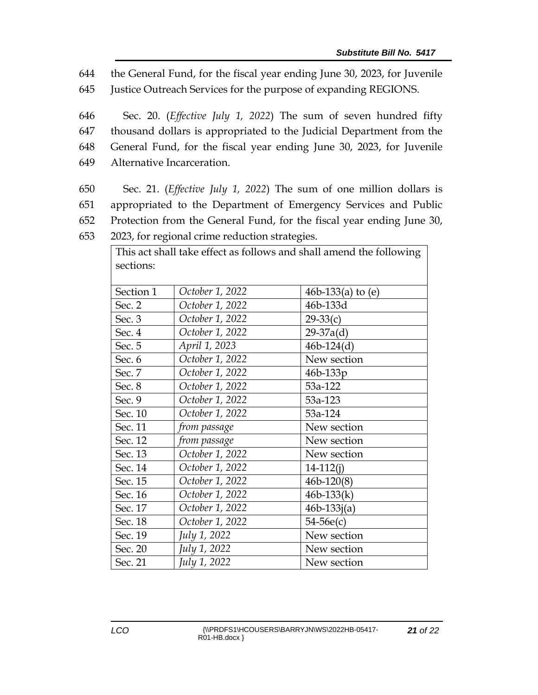644 the General Fund, for the fiscal year ending June 30, 2023, for Juvenile

645 Justice Outreach Services for the purpose of expanding REGIONS.

 Sec. 20. (*Effective July 1, 2022*) The sum of seven hundred fifty thousand dollars is appropriated to the Judicial Department from the General Fund, for the fiscal year ending June 30, 2023, for Juvenile Alternative Incarceration.

- 650 Sec. 21. (*Effective July 1, 2022*) The sum of one million dollars is 651 appropriated to the Department of Emergency Services and Public 652 Protection from the General Fund, for the fiscal year ending June 30, 653 2023, for regional crime reduction strategies.
- This act shall take effect as follows and shall amend the following

| act bliail take cliect as follows and shall affiche the following<br>sections: |                 |                     |
|--------------------------------------------------------------------------------|-----------------|---------------------|
| Section 1                                                                      | October 1, 2022 | 46b-133(a) to $(e)$ |
| Sec. 2                                                                         | October 1, 2022 | 46b-133d            |
| Sec. 3                                                                         | October 1, 2022 | $29-33(c)$          |
| Sec. 4                                                                         | October 1, 2022 | $29-37a(d)$         |
| Sec. 5                                                                         | April 1, 2023   | $46b-124(d)$        |
| Sec. 6                                                                         | October 1, 2022 | New section         |
| Sec. 7                                                                         | October 1, 2022 | $46b - 133p$        |
| Sec. 8                                                                         | October 1, 2022 | 53a-122             |
| Sec. 9                                                                         | October 1, 2022 | 53a-123             |
| Sec. 10                                                                        | October 1, 2022 | 53a-124             |
| Sec. 11                                                                        | from passage    | New section         |
| Sec. 12                                                                        | from passage    | New section         |
| Sec. 13                                                                        | October 1, 2022 | New section         |
| Sec. 14                                                                        | October 1, 2022 | $14 - 112(j)$       |
| Sec. 15                                                                        | October 1, 2022 | $46b-120(8)$        |
| Sec. 16                                                                        | October 1, 2022 | $46b-133(k)$        |
| Sec. 17                                                                        | October 1, 2022 | $46b - 133j(a)$     |
| Sec. 18                                                                        | October 1, 2022 | $54-56e(c)$         |
| Sec. 19                                                                        | July 1, 2022    | New section         |
| Sec. 20                                                                        | July 1, 2022    | New section         |
| Sec. 21                                                                        | July 1, 2022    | New section         |